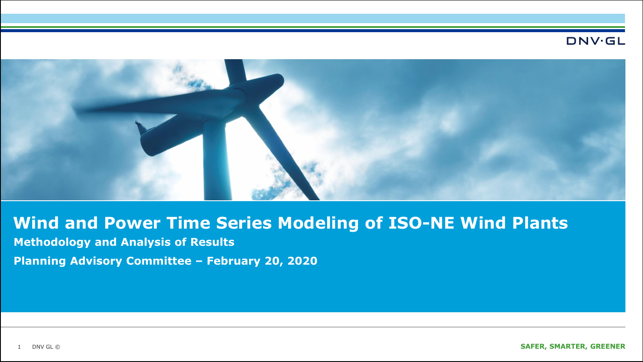#### **DNV·GL**



# **Wind and Power Time Series Modeling of ISO-NE Wind Plants**

**Methodology and Analysis of Results**

**Planning Advisory Committee – February 20, 2020**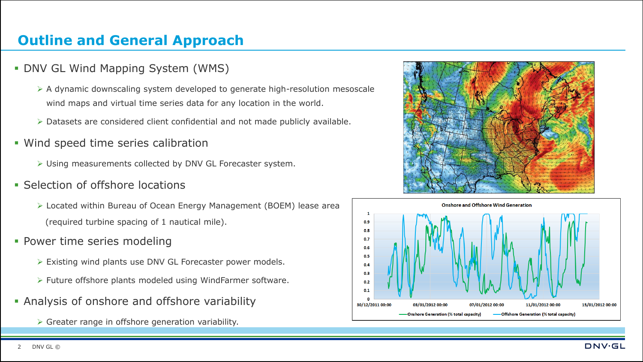# **Outline and General Approach**

- **DNV GL Wind Mapping System (WMS)** 
	- ➢ A dynamic downscaling system developed to generate high-resolution mesoscale wind maps and virtual time series data for any location in the world.
	- ➢ Datasets are considered client confidential and not made publicly available.
- **.** Wind speed time series calibration
	- ➢ Using measurements collected by DNV GL Forecaster system.
- **Selection of offshore locations** 
	- ➢ Located within Bureau of Ocean Energy Management (BOEM) lease area (required turbine spacing of 1 nautical mile).
- Power time series modeling
	- ➢ Existing wind plants use DNV GL Forecaster power models.
	- ➢ Future offshore plants modeled using WindFarmer software.
- **Analysis of onshore and offshore variability** 
	- ➢ Greater range in offshore generation variability.



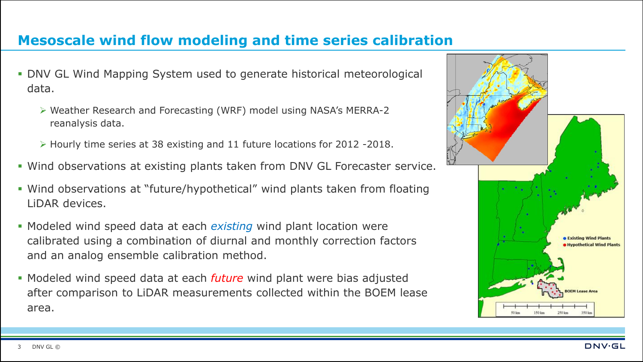### **Mesoscale wind flow modeling and time series calibration**

- **DNV GL Wind Mapping System used to generate historical meteorological** data.
	- ➢ Weather Research and Forecasting (WRF) model using NASA's MERRA-2 reanalysis data.
	- ➢ Hourly time series at 38 existing and 11 future locations for 2012 -2018.
- **.** Wind observations at existing plants taken from DNV GL Forecaster service.
- Wind observations at "future/hypothetical" wind plants taken from floating LiDAR devices.
- Modeled wind speed data at each *existing* wind plant location were calibrated using a combination of diurnal and monthly correction factors and an analog ensemble calibration method.
- Modeled wind speed data at each *future* wind plant were bias adjusted after comparison to LiDAR measurements collected within the BOEM lease area.



**DNV·GL**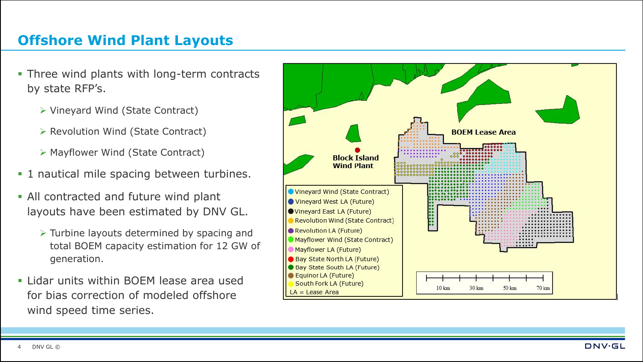## **Offshore Wind Plant Layouts**

- **Three wind plants with long-term contracts** by state RFP's.
	- ➢ Vineyard Wind (State Contract)
	- ➢ Revolution Wind (State Contract)
	- ➢ Mayflower Wind (State Contract)
- **.1** nautical mile spacing between turbines.
- **.** All contracted and future wind plant layouts have been estimated by DNV GL.
	- ➢ Turbine layouts determined by spacing and total BOEM capacity estimation for 12 GW of generation.
- **.** Lidar units within BOEM lease area used for bias correction of modeled offshore wind speed time series.

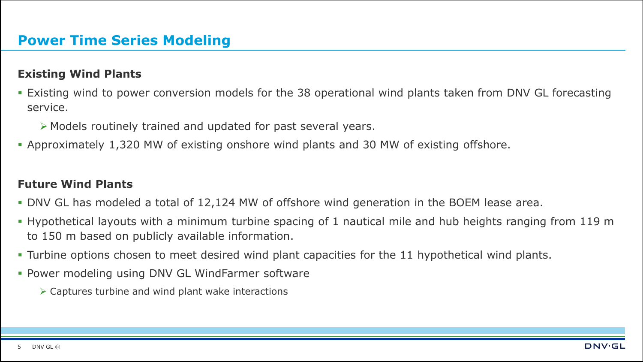### **Existing Wind Plants**

- Existing wind to power conversion models for the 38 operational wind plants taken from DNV GL forecasting service.
	- ➢ Models routinely trained and updated for past several years.
- **Approximately 1,320 MW of existing onshore wind plants and 30 MW of existing offshore.**

### **Future Wind Plants**

- DNV GL has modeled a total of 12,124 MW of offshore wind generation in the BOEM lease area.
- Hypothetical layouts with a minimum turbine spacing of 1 nautical mile and hub heights ranging from 119 m to 150 m based on publicly available information.
- Turbine options chosen to meet desired wind plant capacities for the 11 hypothetical wind plants.
- **Power modeling using DNV GL WindFarmer software** 
	- ➢ Captures turbine and wind plant wake interactions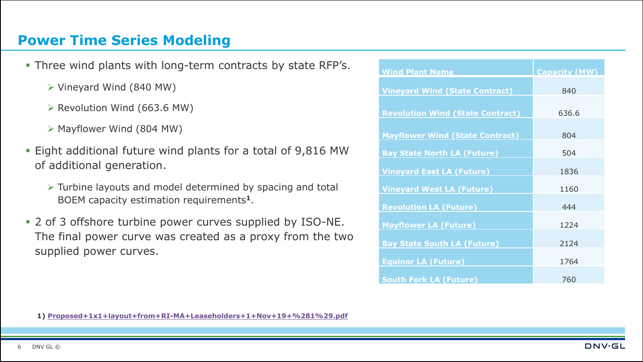### **Power Time Series Modeling**

- **.** Three wind plants with long-term contracts by state RFP's.
	- ➢ Vineyard Wind (840 MW)
	- ➢ Revolution Wind (663.6 MW)
	- ➢ Mayflower Wind (804 MW)
- Eight additional future wind plants for a total of 9,816 MW of additional generation.
	- ➢ Turbine layouts and model determined by spacing and total BOEM capacity estimation requirements**<sup>1</sup>**.
- 2 of 3 offshore turbine power curves supplied by ISO-NE. The final power curve was created as a proxy from the two supplied power curves.

| <b>Wind Plant Name</b>                  | <b>Capacity (MW)</b> |
|-----------------------------------------|----------------------|
| <b>Vineyard Wind (State Contract)</b>   | 840                  |
| <b>Revolution Wind (State Contract)</b> | 636.6                |
| <b>Mayflower Wind (State Contract)</b>  | 804                  |
| <b>Bay State North LA (Future)</b>      | 504                  |
| <b>Vineyard East LA (Future)</b>        | 1836                 |
| <b>Vineyard West LA (Future)</b>        | 1160                 |
| <b>Revolution LA (Future)</b>           | 444                  |
| <b>Mayflower LA (Future)</b>            | 1224                 |
| <b>Bay State South LA (Future)</b>      | 2124                 |
| <b>Equinor LA (Future)</b>              | 1764                 |
| <b>South Fork LA (Future)</b>           | 760                  |

**1) [Proposed+1x1+layout+from+RI-MA+Leaseholders+1+Nov+19+%281%29.pdf](https://static1.squarespace.com/static/5a2eae32be42d64ed467f9d1/t/5dd3d3e476d4226b2a83db25/1574163438896/Proposed+1x1+layout+from+RI-MA+Leaseholders+1+Nov+19+%281%29.pdf)**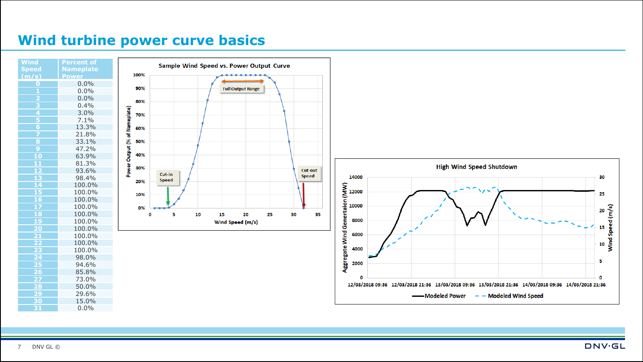### **Wind turbine power curve basics**

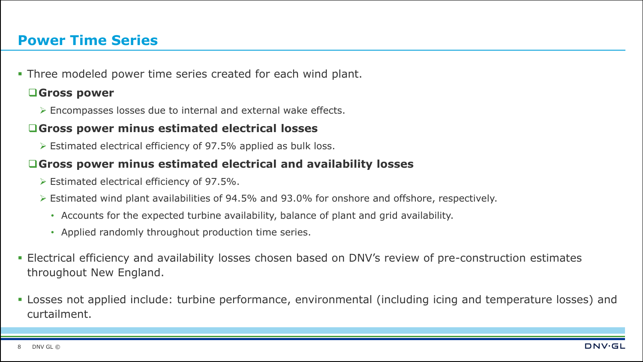### **Power Time Series**

**.** Three modeled power time series created for each wind plant.

#### ❑**Gross power**

➢ Encompasses losses due to internal and external wake effects.

#### ❑**Gross power minus estimated electrical losses**

➢ Estimated electrical efficiency of 97.5% applied as bulk loss.

#### ❑**Gross power minus estimated electrical and availability losses**

- ➢ Estimated electrical efficiency of 97.5%.
- ➢ Estimated wind plant availabilities of 94.5% and 93.0% for onshore and offshore, respectively.
	- Accounts for the expected turbine availability, balance of plant and grid availability.
	- Applied randomly throughout production time series.
- **Electrical efficiency and availability losses chosen based on DNV's review of pre-construction estimates** throughout New England.
- Losses not applied include: turbine performance, environmental (including icing and temperature losses) and curtailment.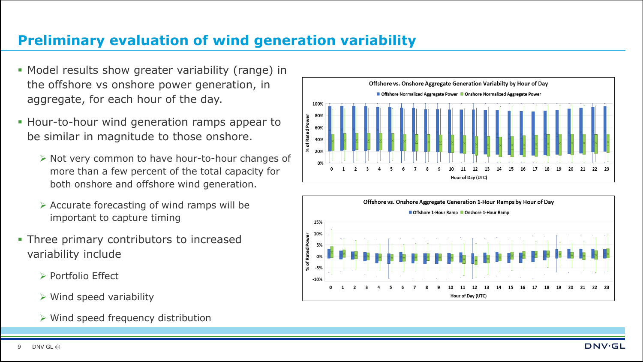# **Preliminary evaluation of wind generation variability**

- Model results show greater variability (range) in the offshore vs onshore power generation, in aggregate, for each hour of the day.
- **.** Hour-to-hour wind generation ramps appear to be similar in magnitude to those onshore.
	- ➢ Not very common to have hour-to-hour changes of more than a few percent of the total capacity for both onshore and offshore wind generation.
	- ➢ Accurate forecasting of wind ramps will be important to capture timing
- **Three primary contributors to increased** variability include
	- ➢ Portfolio Effect
	- $\triangleright$  Wind speed variability
	- ➢ Wind speed frequency distribution



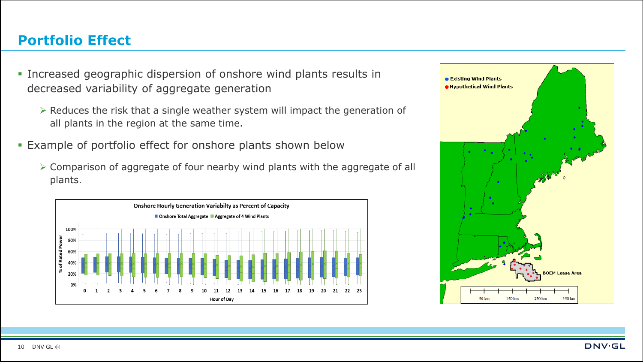## **Portfolio Effect**

- Increased geographic dispersion of onshore wind plants results in decreased variability of aggregate generation
	- ➢ Reduces the risk that a single weather system will impact the generation of all plants in the region at the same time.
- **Example of portfolio effect for onshore plants shown below** 
	- ➢ Comparison of aggregate of four nearby wind plants with the aggregate of all plants.



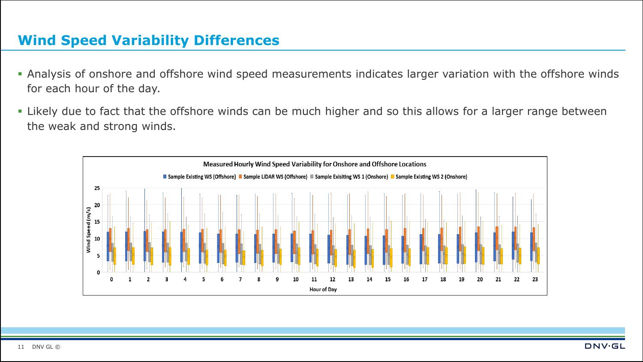### **Wind Speed Variability Differences**

- Analysis of onshore and offshore wind speed measurements indicates larger variation with the offshore winds for each hour of the day.
- Likely due to fact that the offshore winds can be much higher and so this allows for a larger range between the weak and strong winds.

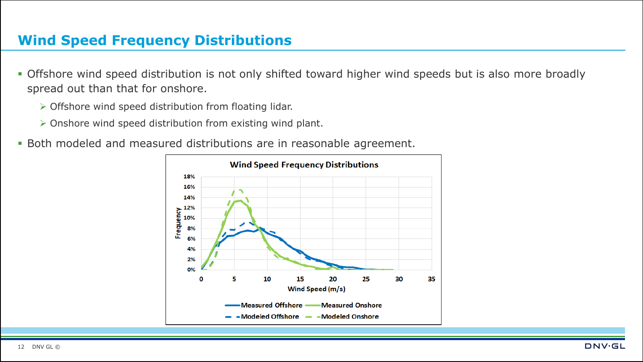## **Wind Speed Frequency Distributions**

- **Offshore wind speed distribution is not only shifted toward higher wind speeds but is also more broadly** spread out than that for onshore.
	- ➢ Offshore wind speed distribution from floating lidar.
	- ➢ Onshore wind speed distribution from existing wind plant.
- **Both modeled and measured distributions are in reasonable agreement.**

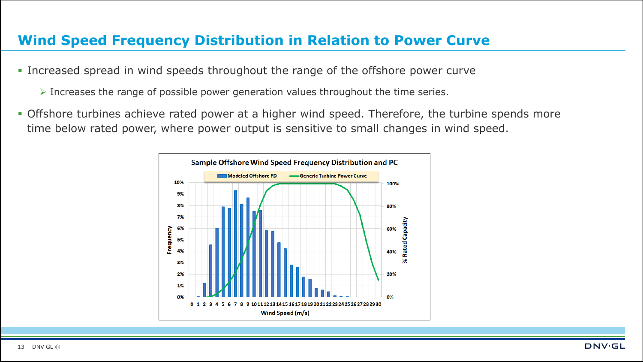### **Wind Speed Frequency Distribution in Relation to Power Curve**

- **.** Increased spread in wind speeds throughout the range of the offshore power curve
	- ➢ Increases the range of possible power generation values throughout the time series.
- **Offshore turbines achieve rated power at a higher wind speed. Therefore, the turbine spends more** time below rated power, where power output is sensitive to small changes in wind speed.